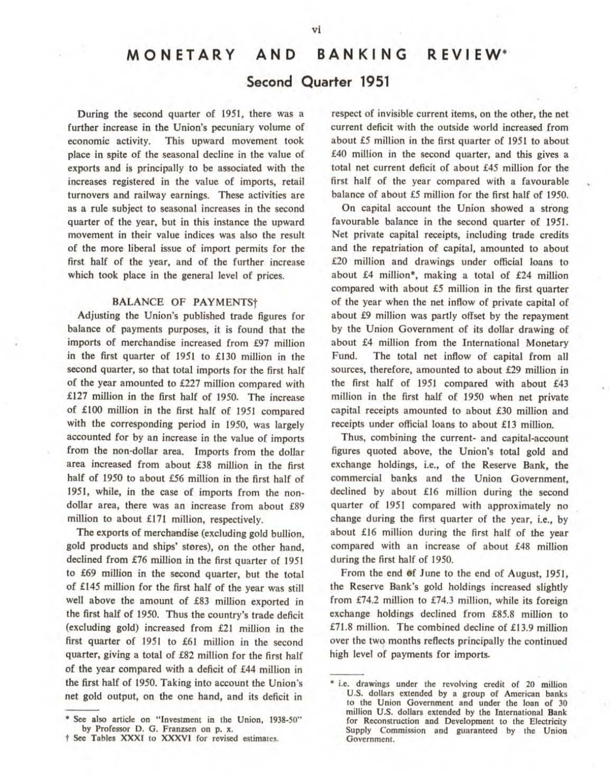# MONETARY AND BANKING REVIEW\* Second Quarter 1951

During the second quarter of 1951, there was a further increase in the Union's pecuniary volume of economic activity. This upward movement took place in spite of the seasonal decline in the value of exports and is principally to be associated with the increases registered in the value of imports. retail turnovers and railway earnings. These activities are as a rule subject to seasonal increases in the second quarter of the year. but in this instance the upward movement in their value indices was also the result of the more liberal issue of import permits for the first half of the year, and of the further increase which took place in the general level of prices.

### BALANCE OF PAYMENTS<sup>+</sup>

Adjusting the Union's published trade figures for balance of payments purposes, it is found that the imports of merchandise increased from £97 million in the first quarter of 1951 to £130 million in the second quarter, so that total imports for the first half of the year amounted to £227 million compared with £127 million in the first half of 1950. The increase of £100 million in the first half of 1951 compared with the corresponding period in 1950, was largely accounted for by an increase in the value of imports from the non-dollar area. Imports from the dollar area increased from about £38 million in the first half of 1950 to about £56 million in the first half of 1951, while, in the case of imports from the nondollar area, there was an increase from about £89 million to about £171 million, respectively.

The exports of merchandise (excluding gold bullion, gold products and ships' stores), on the other hand, declined from £76 million in the first quarter of 1951 to £69 million in the second quarter, but the total of £145 million for the first half of the year was still well above the amount of £83 million exported in the first half of 1950. Thus the country's trade deficit (excluding gold) increased from  $£21$  million in the first quarter of 1951 to £61 million in the second quarter, giving a total of £82 million for the first half of the year compared with a deficit of £44 million in the first half of 1950. Taking into account the Union's net gold output, on the one hand, and its deficit in

respect of invisible current items, on the other, the net current deficit with the outside world increased from about £5 million in the first quarter of 1951 to about £40 million in the second quarter, and this gives a total net current deficit of about £45 million for the first half of the year compared with a favourable balance of about £5 million for the first half of 1950.

On capital account tbe Union showed a strong favourable balance in the second quarter of 1951. Net private capital receipts, including trade credits and the repatriation of capital, amounted to about £20 million and drawings under official loans to about  $£4$  million\*, making a total of  $£24$  million compared with about £5 million in the first quarter of the year when the net inflow of private capital of about £9 million was partly offset by the repayment by the Union Government of its dollar drawing of about £4 million from the International Monetary Fund. The total net inflow of capital from all sources, therefore, amounted to about £29 million in the first half of 1951 compared with about £43 million in the first half of 19.50 when net private capital receipts amounted to about £30 million and receipts under official loans to about £13 million.

Thus, combining the current· and capital·account figures quoted above, the Union's total gold and exchange holdings, i.e., of the Reserve Bank, the commercial banks and the Union Government, declined by about £16 million during the second quarter of 1951 compared with approximately no change during the first quarter of the year, i.e., by about £16 million during the first half of the year compared with an increase of about £48 million during the first half of 1950.

From the end of June to the end of August, 1951, the Reserve Bank's gold holdings increased slightly from  $£74.2$  million to £74.3 million, while its foreign exchange holdings declined from £85.8 million to £71.8 million. The combined decline of £1 3.9 million over the two months reflects principally the continued high level of payments for imports.

<sup>\*</sup> See also article on "Investment in the Union, 1938-50" by Professor D. G. Franzsen on p. x.

t See Tables XXXI to XXXVI for revised estimates.

<sup>\*</sup> i.e. drawings under the revolving credit of 20 million U.S. dollars extended by a group of American banks to the Union Government and under the loan of 30 million U.S. dollars extended by the International Bank for Reconstruction and Development to the Electricity Supply Commission and guaranteed by the Union Government.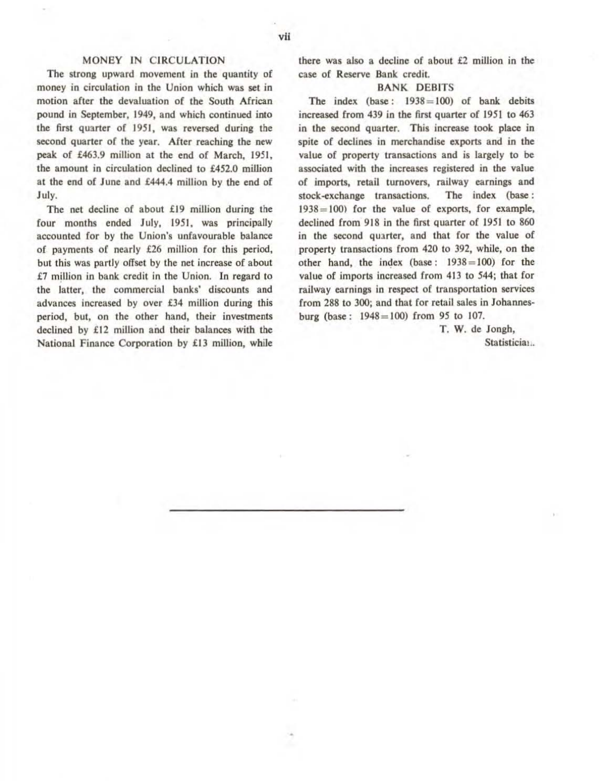### MONEY IN CIRCULATION

The strong upward movement in the quantity of money in circulation in the Union which was set in motion after the devaluation of the South African pound in September, 1949, and which continued into the first quarter of 1951, was reversed during the second quarter of the year. After reaching the new peak of £463.9 million at the end of March. 1951. the amount in circulation declined to £452.0 million at the end of June and £444.4 million by the end of July.

The net decline of about £19 million during the four months ended July, 1951, was principally accounted for by the Union's unfavourable balance of payments of nearly £26 million for this period. but this was partly offset by the net increase of about £7 million in bank credit in the Union. In regard to the latter, the commercial banks' discounts and advances increased by over £34 million during this period, but, on the other hand, their investments declined by £12 million and their balances with the National Finance Corporation by £13 million, while thcre was also a decline of about £2 million in the case of Reserve Bank credil.

### BANK DEBITS

The index (base:  $1938 = 100$ ) of bank debits increased from 439 in the first quarter of 1951 to 463 in the second quarter. This increase took place in spite of declines in merchandise exports and in the value of property transactions and is largely to be associated with the increases registered in the value of imports, retail turnovers, milway earnings and stock-exchange transactions. The index (base:  $1938 = 100$  for the value of exports, for example, declined from 918 in the first quarter of 1951 to 860 in the second quarter, and that for the value of property transactions from 420 to 392, while, on the other hand, the index (base:  $1938 = 100$ ) for the value of imports increased from 413 to 544; that for railway earnings in respect of transportation services from 288 to 300; and that for retail sales in Johannesburg (base:  $1948 = 100$ ) from 95 to 107.

> T. W. de Jongh, Statisticia!..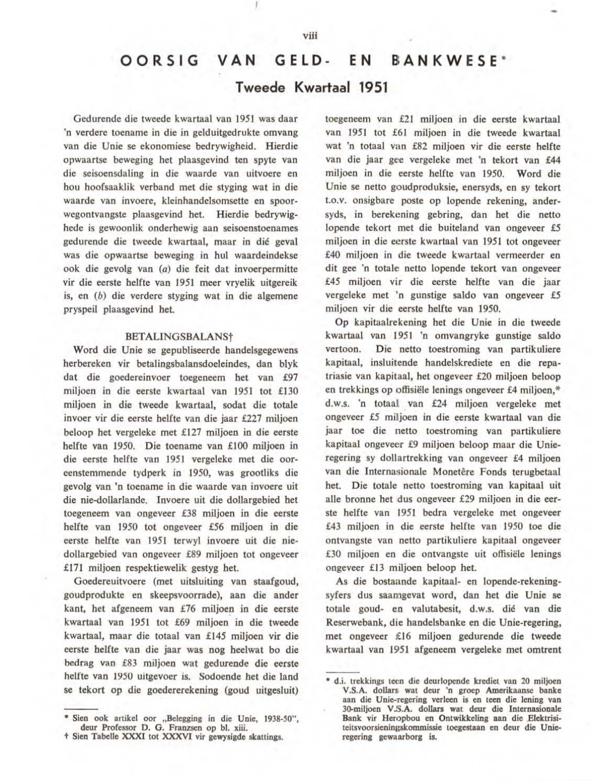## OORSIG VAN GELD- EN BANKWESE\*

### Tweede Kwartaal 1951

Gedurende die tweede kwartaal van 1951 was daar 'n verdere toename in die in gelduitgedrukte omvang van die Unie se ekonomiese bedrywigheid. Hierdie opwaartse beweging het plaasgevind ten spyte van die seisoensdaling in die waarde van uitvoere en hou hoofsaaklik verband met die styging wat in die waarde van invoere, kleinhandelsomsctte en spoorwegontvangste plaasgevind het. Hierdie bedrywighede is gewoonlik onderhewig aan seisoenstocnames gedurende die tweede kwartaal. maar in die geval was die opwaartse beweging in hul waardeindekse ook die gevolg van (a) die feit dat invoerpermitte vir die eerste helfte van 1951 meer vryelik uitgereik is, en  $(b)$  die verdere styging wat in die algemene pryspeii plaasgevind bet.

### BETALlNGSBALANSt

Word die Unie se gepubliseerde handelsgegewens herbereken vir betalingsbalansdoeleindes, dan blyk dat die goedereinvoer toegeneem het van £97 miljoen in die eerste kwartaal van 1951 tot £130 miljoen in die tweede kwartaal, sodat die totale invoer vir die eerste helfte van die jaar £227 miljoen beloop het vergeleke met £127 miljoen in die eerste belfte van 1950. Die toename van £100 miljoen in die eerste helfte van 1951 vergeleke met die ooreenstemmende tydperk in 1950, was grootliks die gevolg vao 'n tocoame in die waarde van iovoere uit die nie-dollarlande. Invoere uil die dollargebied bet loegeneem van ongeveer £38 miljoen in die eerste helfte van 1950 tot ongeveer £56 miljoen in die eerste helfte van 1951 terwyl invoere uit die niedollargebied van oogeveer £89 miljoen tot ongeveer £171 miljoen respektiewelik gestyg bet.

Goedereuitvoere (met uitsluiting van staafgoud, goudprodukte en skeepsvoorrade), aan die ander kant, het afgeneem van £76 miljoen in die eerste kwartaal van 1951 tot £69 miljoen in die tweede kwartaal, maar die totaal van £145 miljoen vir die eerste helfte van die jaar was nog beelwat bo die bedrag van £83 miljoen wat gedurende die eerste helfte van 1950 uitgevoer is. Sodoende het die land se tekort op die goedererekening (goud uilgesluit) loegeneem van £21 miljoen in die eerste kwartaal van 1951 tot £61 miljoen in die tweede kwartaal wat 'n totaal van £82 miljoen vir die eerste helfte van die jaar gee vergeleke met 'n tekort van £44 miljoen in die eerste helfte van 1950. Word die Unie se netto goudproduksie, enersyds, en sy tekort t.o.V. onsigbare poste op lopcnde rekening, andersyds, in berekening gebring, dan het die netto lopende tekort met die buiteland van ongeveer £5 miljoen in die eerste kwartaal van 1951 tot ongeveer £40 miljoen in die tweede kwartaal vermeerder en dit gee 'n totale: netto lopende tekort van ongeveer £45 miljoen vir die eerste helfte van die jaar vergeleke met 'n gunstige saldo van ongeveer £5 miljoen vir die eerste helfte van 1950.

Op kapitaalrekening bel die Vnie in die tweede kwartaal van 1951 'n omvangryke gunstige saldo vertoon. Die netto toestroming van partikuliere kapitaal, insluitende handelskrediete en die repatriasie van kapitaal, het ongeveer £20 miljoeo beloop en trekkings op offisiële lenings ongeveer £4 miljoen,\* d.w.s. 'n totaal van £24 miljoen vergeleke met ongevcer £5 mitjoen in die eerste kwartaal van die jaar toe die netto toestroming van partikuliere kapitaal ongeveer £9 miljoen beloop maar die Unieregering sy dollartrekking van ongeveer £4 miljoeo van die Internasionale Monetêre Fonds terugbetaal het. Die totale netto toestroming van kapitaal uit aile bronne het dus ongeveer £29 miljoen in die eerste helfte van 1951 bedra vergeleke met ongeveer £43 miljoen in die eerste helfte van 1950 toe die ontvangste van netto partikuliere kapitaal ongeveer £30 miljoen en die ontvangste uit offisiële lenings ongeveer £13 miljoen beloop het.

As die bostaande kapitaal- en lopende-rekeningsyfers dus saamgevat word, dan het die Unie se totale goud- en valutabesit, d.w.s, dié van die Reserwebank, die handelsbanke en die Unie-regering, met ongeveer £16 miljoen gedurende die tweede kwartaal van 1951 afgeneem vergeleke met omtrent

<sup>\*</sup> Sien ook artikel oor "Belegging in die Unie, 1938-50", deur Professor D. G. Franzsen op bl. xiii.

t Sien Tabelle XXXI tot XXXVI vir gewysigde skattings.

<sup>\*</sup> d.i. trekkings teen die deurlopende krediet van 20 miljoen V.S.A. dollars wat deur 'n groep Amerikaanse banke aan die Unie-regering verleen is en teen die Iening van 30-miljoen V.S.A. dollars wat deur die Internasionale Bank vir Heropbou en Ontwikkeling aan die Elektrisiteitsvoorsieningskommissie toegestaan en deur die Unieregering gewaarborg is.